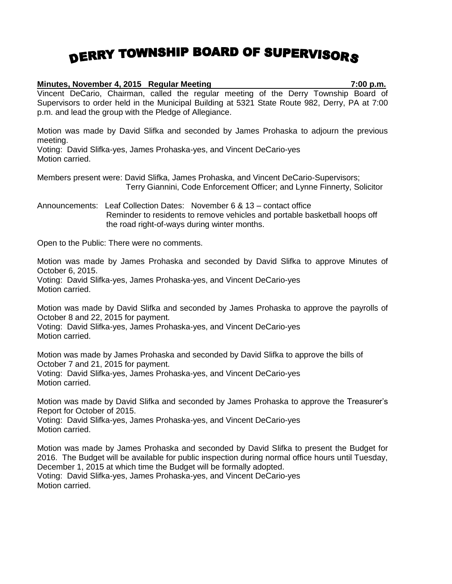## DERRY TOWNSHIP BOARD OF SUPERVISORS

## **Minutes, November 4, 2015 Regular Meeting 7:00 p.m.**

Vincent DeCario, Chairman, called the regular meeting of the Derry Township Board of Supervisors to order held in the Municipal Building at 5321 State Route 982, Derry, PA at 7:00 p.m. and lead the group with the Pledge of Allegiance.

Motion was made by David Slifka and seconded by James Prohaska to adjourn the previous meeting.

Voting: David Slifka-yes, James Prohaska-yes, and Vincent DeCario-yes Motion carried.

Members present were: David Slifka, James Prohaska, and Vincent DeCario-Supervisors; Terry Giannini, Code Enforcement Officer; and Lynne Finnerty, Solicitor

Announcements: Leaf Collection Dates: November 6 & 13 – contact office Reminder to residents to remove vehicles and portable basketball hoops off the road right-of-ways during winter months.

Open to the Public: There were no comments.

Motion was made by James Prohaska and seconded by David Slifka to approve Minutes of October 6, 2015.

Voting: David Slifka-yes, James Prohaska-yes, and Vincent DeCario-yes Motion carried.

Motion was made by David Slifka and seconded by James Prohaska to approve the payrolls of October 8 and 22, 2015 for payment.

Voting: David Slifka-yes, James Prohaska-yes, and Vincent DeCario-yes Motion carried.

Motion was made by James Prohaska and seconded by David Slifka to approve the bills of October 7 and 21, 2015 for payment.

Voting: David Slifka-yes, James Prohaska-yes, and Vincent DeCario-yes Motion carried.

Motion was made by David Slifka and seconded by James Prohaska to approve the Treasurer's Report for October of 2015.

Voting: David Slifka-yes, James Prohaska-yes, and Vincent DeCario-yes Motion carried.

Motion was made by James Prohaska and seconded by David Slifka to present the Budget for 2016. The Budget will be available for public inspection during normal office hours until Tuesday, December 1, 2015 at which time the Budget will be formally adopted. Voting: David Slifka-yes, James Prohaska-yes, and Vincent DeCario-yes Motion carried.